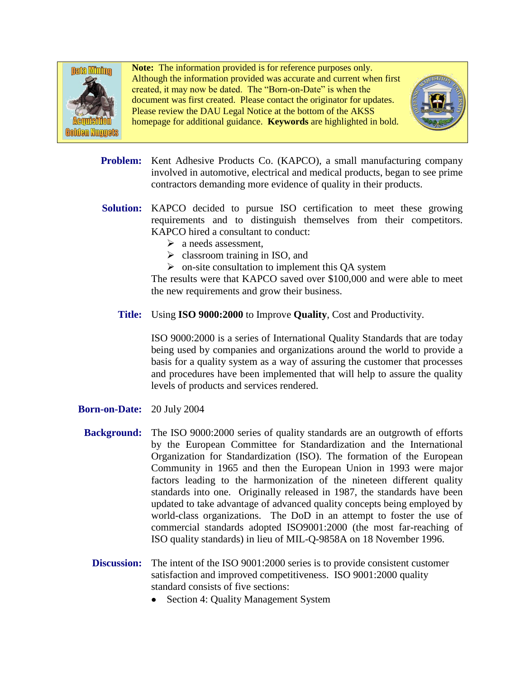

**Note:** The information provided is for reference purposes only. Although the information provided was accurate and current when first created, it may now be dated. The "Born-on-Date" is when the document was first created. Please contact the originator for updates. Please review the DAU Legal Notice at the bottom of the AKSS homepage for additional guidance. **Keywords** are highlighted in bold.



- Problem: Kent Adhesive Products Co. (KAPCO), a small manufacturing company involved in automotive, electrical and medical products, began to see prime contractors demanding more evidence of quality in their products.
- Solution: KAPCO decided to pursue ISO certification to meet these growing requirements and to distinguish themselves from their competitors. KAPCO hired a consultant to conduct:
	- $\triangleright$  a needs assessment.
	- $\triangleright$  classroom training in ISO, and
	- $\triangleright$  on-site consultation to implement this QA system

The results were that KAPCO saved over \$100,000 and were able to meet the new requirements and grow their business.

**Title:** Using **ISO 9000:2000** to Improve **Quality**, Cost and Productivity.

ISO 9000:2000 is a series of International Quality Standards that are today being used by companies and organizations around the world to provide a basis for a quality system as a way of assuring the customer that processes and procedures have been implemented that will help to assure the quality levels of products and services rendered.

- **Born-on-Date:** 20 July 2004
	- **Background:** The ISO 9000:2000 series of quality standards are an outgrowth of efforts by the European Committee for Standardization and the International Organization for Standardization (ISO). The formation of the European Community in 1965 and then the European Union in 1993 were major factors leading to the harmonization of the nineteen different quality standards into one. Originally released in 1987, the standards have been updated to take advantage of advanced quality concepts being employed by world-class organizations. The DoD in an attempt to foster the use of commercial standards adopted ISO9001:2000 (the most far-reaching of ISO quality standards) in lieu of MIL-Q-9858A on 18 November 1996.
		- **Discussion:** The intent of the ISO 9001:2000 series is to provide consistent customer satisfaction and improved competitiveness. ISO 9001:2000 quality standard consists of five sections:
			- Section 4: Quality Management System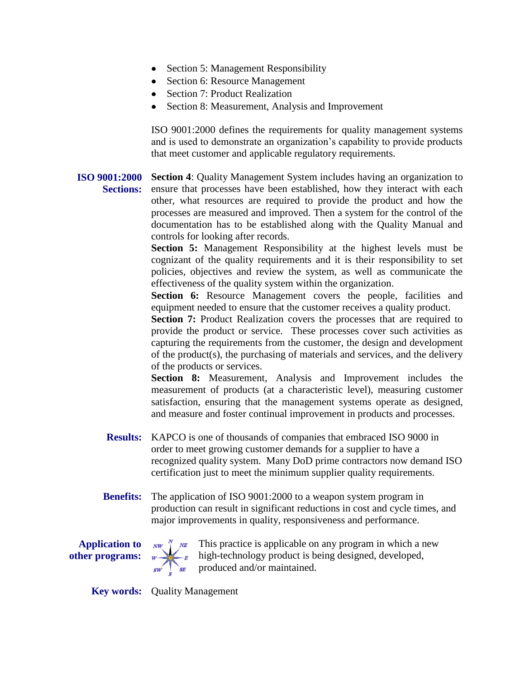- Section 5: Management Responsibility
- Section 6: Resource Management
- Section 7: Product Realization
- Section 8: Measurement, Analysis and Improvement

ISO 9001:2000 defines the requirements for quality management systems and is used to demonstrate an organization's capability to provide products that meet customer and applicable regulatory requirements.

**ISO 9001:2000 Section 4**: Quality Management System includes having an organization to Sections: ensure that processes have been established, how they interact with each other, what resources are required to provide the product and how the processes are measured and improved. Then a system for the control of the documentation has to be established along with the Quality Manual and controls for looking after records.

> **Section 5:** Management Responsibility at the highest levels must be cognizant of the quality requirements and it is their responsibility to set policies, objectives and review the system, as well as communicate the effectiveness of the quality system within the organization.

> **Section 6:** Resource Management covers the people, facilities and equipment needed to ensure that the customer receives a quality product.

> **Section 7:** Product Realization covers the processes that are required to provide the product or service. These processes cover such activities as capturing the requirements from the customer, the design and development of the product(s), the purchasing of materials and services, and the delivery of the products or services.

> **Section 8:** Measurement, Analysis and Improvement includes the measurement of products (at a characteristic level), measuring customer satisfaction, ensuring that the management systems operate as designed, and measure and foster continual improvement in products and processes.

- **Results:** KAPCO is one of thousands of companies that embraced ISO 9000 in order to meet growing customer demands for a supplier to have a recognized quality system. Many DoD prime contractors now demand ISO certification just to meet the minimum supplier quality requirements.
- **Benefits:** The application of ISO 9001:2000 to a weapon system program in production can result in significant reductions in cost and cycle times, and major improvements in quality, responsiveness and performance.

**Application to other programs:**



 $NW$   $\stackrel{N}{\downarrow}$   $N$  This practice is applicable on any program in which a new high-technology product is being designed, developed, produced and/or maintained.

**Key words:** Quality Management